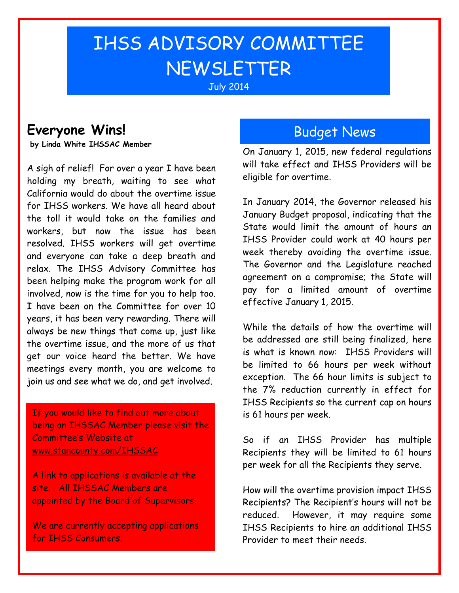# IHSS ADVISORY COMMITTEE **NEWSLETTER**

### July 2014

## **Everyone Wins!**

**by Linda White IHSSAC Member**

A sigh of relief! For over a year I have been holding my breath, waiting to see what California would do about the overtime issue for IHSS workers. We have all heard about the toll it would take on the families and workers, but now the issue has been resolved. IHSS workers will get overtime and everyone can take a deep breath and relax. The IHSS Advisory Committee has been helping make the program work for all involved, now is the time for you to help too. I have been on the Committee for over 10 years, it has been very rewarding. There will always be new things that come up, just like the overtime issue, and the more of us that get our voice heard the better. We have meetings every month, you are welcome to join us and see what we do, and get involved.

If you would like to find out more about being an IHSSAC Member please visit the Committee's Website at [www.stancounty.com/IHSSAC](http://www.stancounty.com/IHSSAC)

A link to applications is available at the site. All IHSSAC Members are appointed by the Board of Supervisors.

We are currently accepting applications for IHSS Consumers.

### Budget News

On January 1, 2015, new federal regulations will take effect and IHSS Providers will be eligible for overtime.

In January 2014, the Governor released his January Budget proposal, indicating that the State would limit the amount of hours an IHSS Provider could work at 40 hours per week thereby avoiding the overtime issue. The Governor and the Legislature reached agreement on a compromise; the State will pay for a limited amount of overtime effective January 1, 2015.

While the details of how the overtime will be addressed are still being finalized, here is what is known now: IHSS Providers will be limited to 66 hours per week without exception. The 66 hour limits is subject to the 7% reduction currently in effect for IHSS Recipients so the current cap on hours is 61 hours per week.

So if an IHSS Provider has multiple Recipients they will be limited to 61 hours per week for all the Recipients they serve.

How will the overtime provision impact IHSS Recipients? The Recipient's hours will not be reduced. However, it may require some IHSS Recipients to hire an additional IHSS Provider to meet their needs.